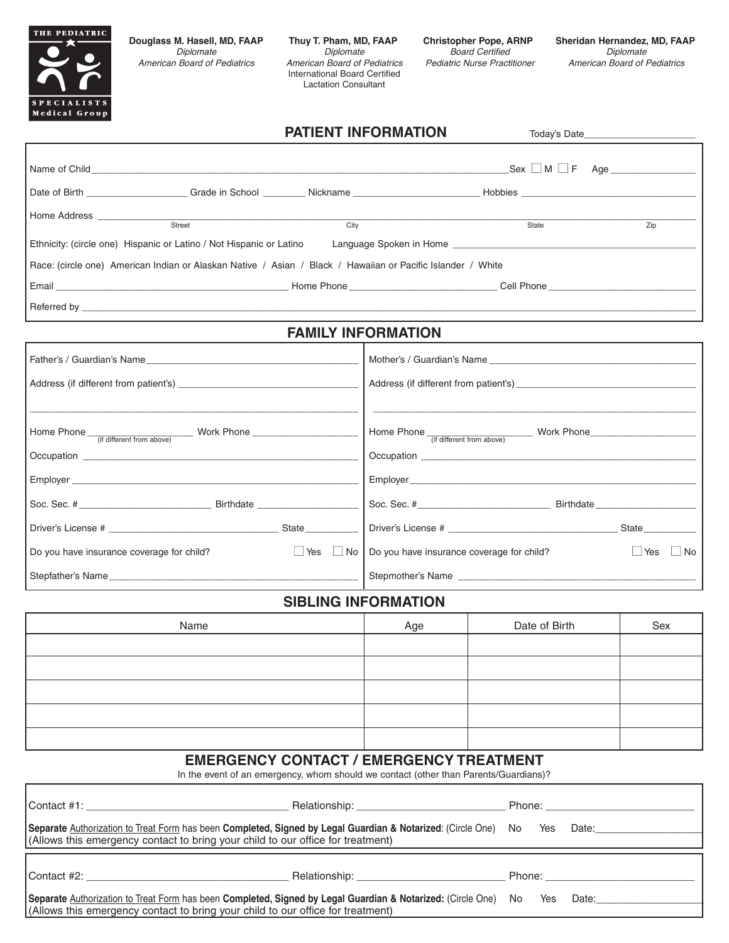

American Board of Pediatrics International Board Certified Lactation Consultant

## **PATIENT INFORMATION** Today's Date

| $\overline{\text{Street}}$<br>City                                                                                                                                                                                                                                                                                                                                                                                                                               |                                                                             | State         | Zip |  |  |  |  |  |
|------------------------------------------------------------------------------------------------------------------------------------------------------------------------------------------------------------------------------------------------------------------------------------------------------------------------------------------------------------------------------------------------------------------------------------------------------------------|-----------------------------------------------------------------------------|---------------|-----|--|--|--|--|--|
| Ethnicity: (circle one) Hispanic or Latino / Not Hispanic or Latino                                                                                                                                                                                                                                                                                                                                                                                              | Language Spoken in Home                                                     |               |     |  |  |  |  |  |
| Race: (circle one) American Indian or Alaskan Native / Asian / Black / Hawaiian or Pacific Islander / White                                                                                                                                                                                                                                                                                                                                                      |                                                                             |               |     |  |  |  |  |  |
| Email Cell Phone Cell Phone Cell Phone Cell Phone Cell Phone Cell Phone Cell Phone Cell Phone Cell Phone Cell Phone Cell Phone Cell Phone Cell Phone Cell Phone Cell Phone Cell Phone Cell Phone Cell Phone Cell Phone Cell Ph                                                                                                                                                                                                                                   |                                                                             |               |     |  |  |  |  |  |
|                                                                                                                                                                                                                                                                                                                                                                                                                                                                  |                                                                             |               |     |  |  |  |  |  |
| <b>FAMILY INFORMATION</b>                                                                                                                                                                                                                                                                                                                                                                                                                                        |                                                                             |               |     |  |  |  |  |  |
|                                                                                                                                                                                                                                                                                                                                                                                                                                                                  |                                                                             |               |     |  |  |  |  |  |
|                                                                                                                                                                                                                                                                                                                                                                                                                                                                  |                                                                             |               |     |  |  |  |  |  |
|                                                                                                                                                                                                                                                                                                                                                                                                                                                                  |                                                                             |               |     |  |  |  |  |  |
|                                                                                                                                                                                                                                                                                                                                                                                                                                                                  |                                                                             |               |     |  |  |  |  |  |
|                                                                                                                                                                                                                                                                                                                                                                                                                                                                  |                                                                             |               |     |  |  |  |  |  |
| Employer experience and the state of the state of the state of the state of the state of the state of the state of the state of the state of the state of the state of the state of the state of the state of the state of the<br>Employer experience and the state of the state of the state of the state of the state of the state of the state of the state of the state of the state of the state of the state of the state of the state of the state of the |                                                                             |               |     |  |  |  |  |  |
|                                                                                                                                                                                                                                                                                                                                                                                                                                                                  |                                                                             |               |     |  |  |  |  |  |
|                                                                                                                                                                                                                                                                                                                                                                                                                                                                  |                                                                             |               |     |  |  |  |  |  |
| Do you have insurance coverage for child?<br>$\Box$ Yes                                                                                                                                                                                                                                                                                                                                                                                                          | $\Box$ No $\Box$ Do you have insurance coverage for child?<br>Yes $\Box$ No |               |     |  |  |  |  |  |
| Stepfather's Name                                                                                                                                                                                                                                                                                                                                                                                                                                                | Stepmother's Name                                                           |               |     |  |  |  |  |  |
| <b>SIBLING INFORMATION</b>                                                                                                                                                                                                                                                                                                                                                                                                                                       |                                                                             |               |     |  |  |  |  |  |
| Name                                                                                                                                                                                                                                                                                                                                                                                                                                                             | Age                                                                         | Date of Birth | Sex |  |  |  |  |  |
|                                                                                                                                                                                                                                                                                                                                                                                                                                                                  |                                                                             |               |     |  |  |  |  |  |
|                                                                                                                                                                                                                                                                                                                                                                                                                                                                  |                                                                             |               |     |  |  |  |  |  |
|                                                                                                                                                                                                                                                                                                                                                                                                                                                                  |                                                                             |               |     |  |  |  |  |  |
|                                                                                                                                                                                                                                                                                                                                                                                                                                                                  |                                                                             |               |     |  |  |  |  |  |
|                                                                                                                                                                                                                                                                                                                                                                                                                                                                  |                                                                             |               |     |  |  |  |  |  |

## **EMERGENCY CONTACT / EMERGENCY TREATMENT**

In the event of an emergency, whom should we contact (other than Parents/Guardians)?

|                                                                                                                    |  | Phone: __________________________ |  |                                                                                                                                                                                                                                |  |
|--------------------------------------------------------------------------------------------------------------------|--|-----------------------------------|--|--------------------------------------------------------------------------------------------------------------------------------------------------------------------------------------------------------------------------------|--|
| Separate Authorization to Treat Form has been Completed, Signed by Legal Guardian & Notarized: (Circle One) No Yes |  |                                   |  | Date: ________________                                                                                                                                                                                                         |  |
| (Allows this emergency contact to bring your child to our office for treatment)                                    |  |                                   |  |                                                                                                                                                                                                                                |  |
|                                                                                                                    |  |                                   |  |                                                                                                                                                                                                                                |  |
| Contact #2:                                                                                                        |  | Phone: __________________         |  |                                                                                                                                                                                                                                |  |
| Separate Authorization to Treat Form has been Completed, Signed by Legal Guardian & Notarized: (Circle One) No Yes |  |                                   |  | Date: the contract of the contract of the contract of the contract of the contract of the contract of the contract of the contract of the contract of the contract of the contract of the contract of the contract of the cont |  |
| (Allows this emergency contact to bring your child to our office for treatment)                                    |  |                                   |  |                                                                                                                                                                                                                                |  |